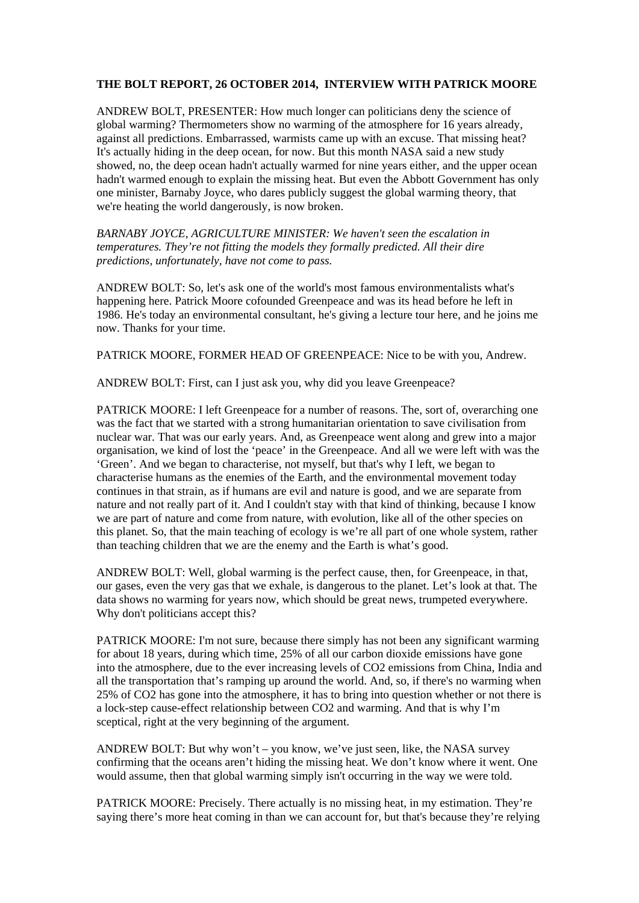## **THE BOLT REPORT, 26 OCTOBER 2014, INTERVIEW WITH PATRICK MOORE**

ANDREW BOLT, PRESENTER: How much longer can politicians deny the science of global warming? Thermometers show no warming of the atmosphere for 16 years already, against all predictions. Embarrassed, warmists came up with an excuse. That missing heat? It's actually hiding in the deep ocean, for now. But this month NASA said a new study showed, no, the deep ocean hadn't actually warmed for nine years either, and the upper ocean hadn't warmed enough to explain the missing heat. But even the Abbott Government has only one minister, Barnaby Joyce, who dares publicly suggest the global warming theory, that we're heating the world dangerously, is now broken.

*BARNABY JOYCE, AGRICULTURE MINISTER: We haven't seen the escalation in temperatures. They're not fitting the models they formally predicted. All their dire predictions, unfortunately, have not come to pass.* 

ANDREW BOLT: So, let's ask one of the world's most famous environmentalists what's happening here. Patrick Moore cofounded Greenpeace and was its head before he left in 1986. He's today an environmental consultant, he's giving a lecture tour here, and he joins me now. Thanks for your time.

PATRICK MOORE, FORMER HEAD OF GREENPEACE: Nice to be with you, Andrew.

ANDREW BOLT: First, can I just ask you, why did you leave Greenpeace?

PATRICK MOORE: I left Greenpeace for a number of reasons. The, sort of, overarching one was the fact that we started with a strong humanitarian orientation to save civilisation from nuclear war. That was our early years. And, as Greenpeace went along and grew into a major organisation, we kind of lost the 'peace' in the Greenpeace. And all we were left with was the 'Green'. And we began to characterise, not myself, but that's why I left, we began to characterise humans as the enemies of the Earth, and the environmental movement today continues in that strain, as if humans are evil and nature is good, and we are separate from nature and not really part of it. And I couldn't stay with that kind of thinking, because I know we are part of nature and come from nature, with evolution, like all of the other species on this planet. So, that the main teaching of ecology is we're all part of one whole system, rather than teaching children that we are the enemy and the Earth is what's good.

ANDREW BOLT: Well, global warming is the perfect cause, then, for Greenpeace, in that, our gases, even the very gas that we exhale, is dangerous to the planet. Let's look at that. The data shows no warming for years now, which should be great news, trumpeted everywhere. Why don't politicians accept this?

PATRICK MOORE: I'm not sure, because there simply has not been any significant warming for about 18 years, during which time, 25% of all our carbon dioxide emissions have gone into the atmosphere, due to the ever increasing levels of CO2 emissions from China, India and all the transportation that's ramping up around the world. And, so, if there's no warming when 25% of CO2 has gone into the atmosphere, it has to bring into question whether or not there is a lock-step cause-effect relationship between CO2 and warming. And that is why I'm sceptical, right at the very beginning of the argument.

ANDREW BOLT: But why won't – you know, we've just seen, like, the NASA survey confirming that the oceans aren't hiding the missing heat. We don't know where it went. One would assume, then that global warming simply isn't occurring in the way we were told.

PATRICK MOORE: Precisely. There actually is no missing heat, in my estimation. They're saying there's more heat coming in than we can account for, but that's because they're relying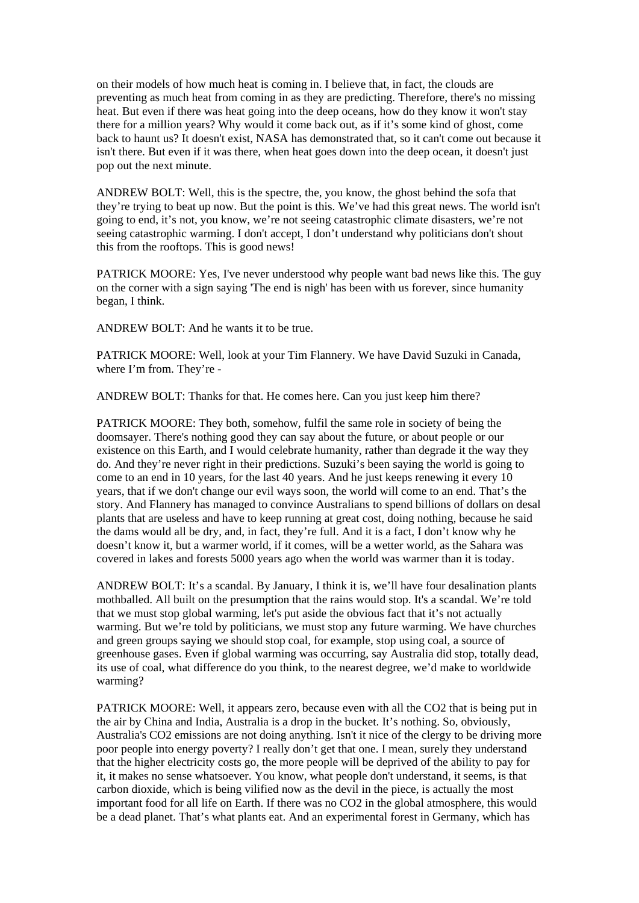on their models of how much heat is coming in. I believe that, in fact, the clouds are preventing as much heat from coming in as they are predicting. Therefore, there's no missing heat. But even if there was heat going into the deep oceans, how do they know it won't stay there for a million years? Why would it come back out, as if it's some kind of ghost, come back to haunt us? It doesn't exist, NASA has demonstrated that, so it can't come out because it isn't there. But even if it was there, when heat goes down into the deep ocean, it doesn't just pop out the next minute.

ANDREW BOLT: Well, this is the spectre, the, you know, the ghost behind the sofa that they're trying to beat up now. But the point is this. We've had this great news. The world isn't going to end, it's not, you know, we're not seeing catastrophic climate disasters, we're not seeing catastrophic warming. I don't accept, I don't understand why politicians don't shout this from the rooftops. This is good news!

PATRICK MOORE: Yes, I've never understood why people want bad news like this. The guy on the corner with a sign saying 'The end is nigh' has been with us forever, since humanity began, I think.

ANDREW BOLT: And he wants it to be true.

PATRICK MOORE: Well, look at your Tim Flannery. We have David Suzuki in Canada, where I'm from. They're -

ANDREW BOLT: Thanks for that. He comes here. Can you just keep him there?

PATRICK MOORE: They both, somehow, fulfil the same role in society of being the doomsayer. There's nothing good they can say about the future, or about people or our existence on this Earth, and I would celebrate humanity, rather than degrade it the way they do. And they're never right in their predictions. Suzuki's been saying the world is going to come to an end in 10 years, for the last 40 years. And he just keeps renewing it every 10 years, that if we don't change our evil ways soon, the world will come to an end. That's the story. And Flannery has managed to convince Australians to spend billions of dollars on desal plants that are useless and have to keep running at great cost, doing nothing, because he said the dams would all be dry, and, in fact, they're full. And it is a fact, I don't know why he doesn't know it, but a warmer world, if it comes, will be a wetter world, as the Sahara was covered in lakes and forests 5000 years ago when the world was warmer than it is today.

ANDREW BOLT: It's a scandal. By January, I think it is, we'll have four desalination plants mothballed. All built on the presumption that the rains would stop. It's a scandal. We're told that we must stop global warming, let's put aside the obvious fact that it's not actually warming. But we're told by politicians, we must stop any future warming. We have churches and green groups saying we should stop coal, for example, stop using coal, a source of greenhouse gases. Even if global warming was occurring, say Australia did stop, totally dead, its use of coal, what difference do you think, to the nearest degree, we'd make to worldwide warming?

PATRICK MOORE: Well, it appears zero, because even with all the CO2 that is being put in the air by China and India, Australia is a drop in the bucket. It's nothing. So, obviously, Australia's CO2 emissions are not doing anything. Isn't it nice of the clergy to be driving more poor people into energy poverty? I really don't get that one. I mean, surely they understand that the higher electricity costs go, the more people will be deprived of the ability to pay for it, it makes no sense whatsoever. You know, what people don't understand, it seems, is that carbon dioxide, which is being vilified now as the devil in the piece, is actually the most important food for all life on Earth. If there was no CO2 in the global atmosphere, this would be a dead planet. That's what plants eat. And an experimental forest in Germany, which has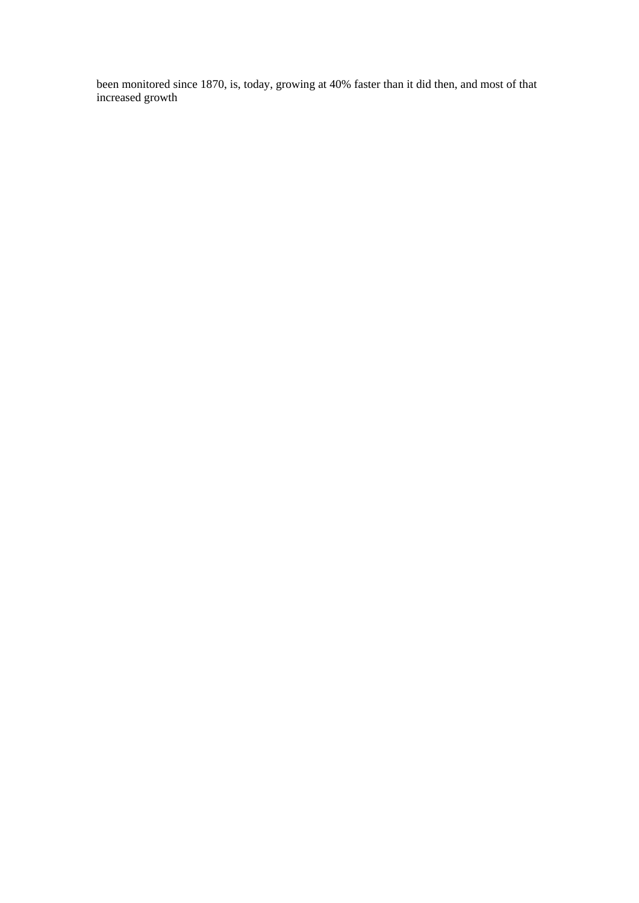been monitored since 1870, is, today, growing at 40% faster than it did then, and most of that increased growth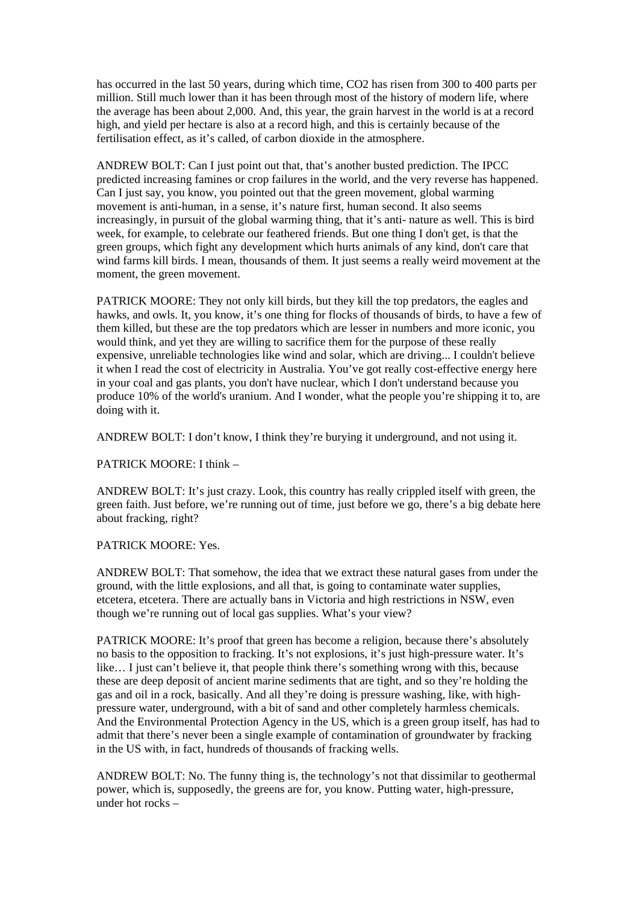has occurred in the last 50 years, during which time, CO2 has risen from 300 to 400 parts per million. Still much lower than it has been through most of the history of modern life, where the average has been about 2,000. And, this year, the grain harvest in the world is at a record high, and yield per hectare is also at a record high, and this is certainly because of the fertilisation effect, as it's called, of carbon dioxide in the atmosphere.

ANDREW BOLT: Can I just point out that, that's another busted prediction. The IPCC predicted increasing famines or crop failures in the world, and the very reverse has happened. Can I just say, you know, you pointed out that the green movement, global warming movement is anti-human, in a sense, it's nature first, human second. It also seems increasingly, in pursuit of the global warming thing, that it's anti- nature as well. This is bird week, for example, to celebrate our feathered friends. But one thing I don't get, is that the green groups, which fight any development which hurts animals of any kind, don't care that wind farms kill birds. I mean, thousands of them. It just seems a really weird movement at the moment, the green movement.

PATRICK MOORE: They not only kill birds, but they kill the top predators, the eagles and hawks, and owls. It, you know, it's one thing for flocks of thousands of birds, to have a few of them killed, but these are the top predators which are lesser in numbers and more iconic, you would think, and yet they are willing to sacrifice them for the purpose of these really expensive, unreliable technologies like wind and solar, which are driving... I couldn't believe it when I read the cost of electricity in Australia. You've got really cost-effective energy here in your coal and gas plants, you don't have nuclear, which I don't understand because you produce 10% of the world's uranium. And I wonder, what the people you're shipping it to, are doing with it.

ANDREW BOLT: I don't know, I think they're burying it underground, and not using it.

PATRICK MOORE: I think –

ANDREW BOLT: It's just crazy. Look, this country has really crippled itself with green, the green faith. Just before, we're running out of time, just before we go, there's a big debate here about fracking, right?

## PATRICK MOORE: Yes.

ANDREW BOLT: That somehow, the idea that we extract these natural gases from under the ground, with the little explosions, and all that, is going to contaminate water supplies, etcetera, etcetera. There are actually bans in Victoria and high restrictions in NSW, even though we're running out of local gas supplies. What's your view?

PATRICK MOORE: It's proof that green has become a religion, because there's absolutely no basis to the opposition to fracking. It's not explosions, it's just high-pressure water. It's like… I just can't believe it, that people think there's something wrong with this, because these are deep deposit of ancient marine sediments that are tight, and so they're holding the gas and oil in a rock, basically. And all they're doing is pressure washing, like, with highpressure water, underground, with a bit of sand and other completely harmless chemicals. And the Environmental Protection Agency in the US, which is a green group itself, has had to admit that there's never been a single example of contamination of groundwater by fracking in the US with, in fact, hundreds of thousands of fracking wells.

ANDREW BOLT: No. The funny thing is, the technology's not that dissimilar to geothermal power, which is, supposedly, the greens are for, you know. Putting water, high-pressure, under hot rocks –